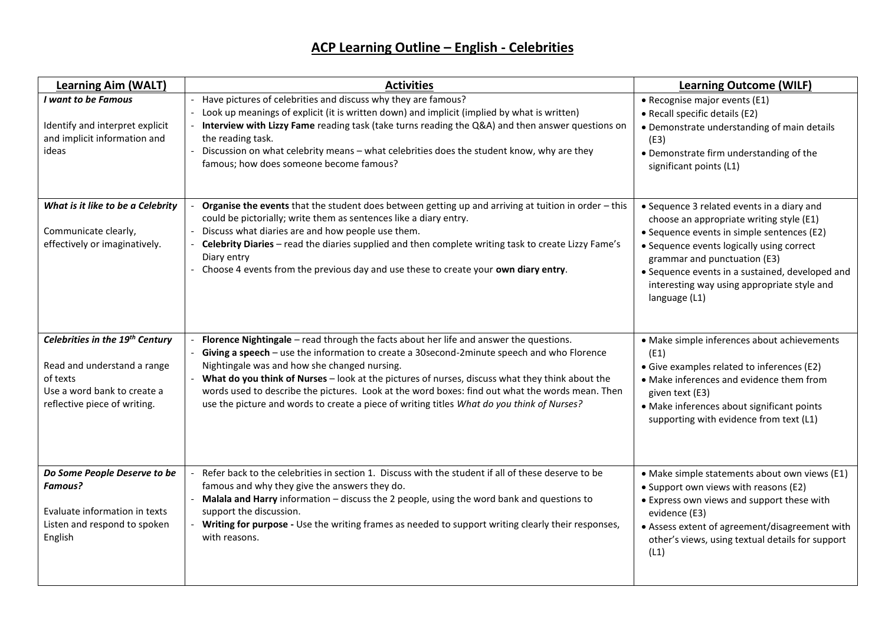## **ACP Learning Outline – English - Celebrities**

| <b>Learning Aim (WALT)</b>                                                                                                                | <b>Activities</b>                                                                                                                                                                                                                                                                                                                                                                                                                                                                                                                          | <b>Learning Outcome (WILF)</b>                                                                                                                                                                                                                                                                                                       |
|-------------------------------------------------------------------------------------------------------------------------------------------|--------------------------------------------------------------------------------------------------------------------------------------------------------------------------------------------------------------------------------------------------------------------------------------------------------------------------------------------------------------------------------------------------------------------------------------------------------------------------------------------------------------------------------------------|--------------------------------------------------------------------------------------------------------------------------------------------------------------------------------------------------------------------------------------------------------------------------------------------------------------------------------------|
| I want to be Famous<br>Identify and interpret explicit<br>and implicit information and<br>ideas                                           | Have pictures of celebrities and discuss why they are famous?<br>Look up meanings of explicit (it is written down) and implicit (implied by what is written)<br>Interview with Lizzy Fame reading task (take turns reading the Q&A) and then answer questions on<br>the reading task.<br>Discussion on what celebrity means - what celebrities does the student know, why are they<br>famous; how does someone become famous?                                                                                                              | • Recognise major events (E1)<br>• Recall specific details (E2)<br>• Demonstrate understanding of main details<br>(E3)<br>• Demonstrate firm understanding of the<br>significant points (L1)                                                                                                                                         |
| What is it like to be a Celebrity<br>Communicate clearly,<br>effectively or imaginatively.                                                | Organise the events that the student does between getting up and arriving at tuition in order - this<br>could be pictorially; write them as sentences like a diary entry.<br>Discuss what diaries are and how people use them.<br>Celebrity Diaries - read the diaries supplied and then complete writing task to create Lizzy Fame's<br>Diary entry<br>- Choose 4 events from the previous day and use these to create your own diary entry.                                                                                              | • Sequence 3 related events in a diary and<br>choose an appropriate writing style (E1)<br>• Sequence events in simple sentences (E2)<br>• Sequence events logically using correct<br>grammar and punctuation (E3)<br>• Sequence events in a sustained, developed and<br>interesting way using appropriate style and<br>language (L1) |
| Celebrities in the 19th Century<br>Read and understand a range<br>of texts<br>Use a word bank to create a<br>reflective piece of writing. | Florence Nightingale - read through the facts about her life and answer the questions.<br>Giving a speech - use the information to create a 30second-2minute speech and who Florence<br>Nightingale was and how she changed nursing.<br>- What do you think of Nurses - look at the pictures of nurses, discuss what they think about the<br>words used to describe the pictures. Look at the word boxes: find out what the words mean. Then<br>use the picture and words to create a piece of writing titles What do you think of Nurses? | • Make simple inferences about achievements<br>(E1)<br>• Give examples related to inferences (E2)<br>• Make inferences and evidence them from<br>given text (E3)<br>• Make inferences about significant points<br>supporting with evidence from text (L1)                                                                            |
| Do Some People Deserve to be<br><b>Famous?</b><br>Evaluate information in texts<br>Listen and respond to spoken<br>English                | Refer back to the celebrities in section 1. Discuss with the student if all of these deserve to be<br>famous and why they give the answers they do.<br>Malala and Harry information - discuss the 2 people, using the word bank and questions to<br>support the discussion.<br>- Writing for purpose - Use the writing frames as needed to support writing clearly their responses,<br>with reasons.                                                                                                                                       | • Make simple statements about own views (E1)<br>• Support own views with reasons (E2)<br>• Express own views and support these with<br>evidence (E3)<br>• Assess extent of agreement/disagreement with<br>other's views, using textual details for support<br>(L1)                                                                  |